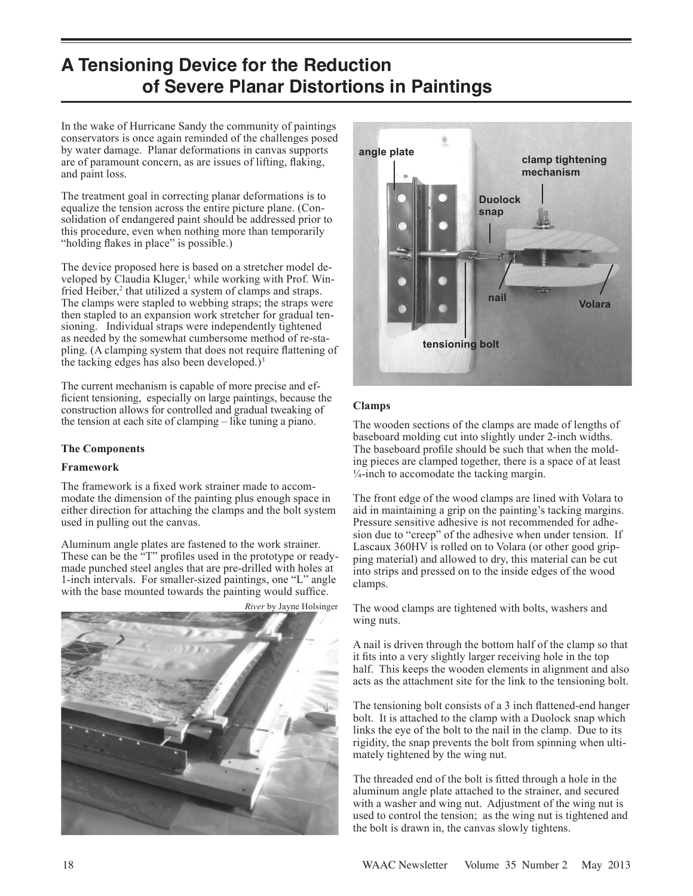# **A Tensioning Device for the Reduction of Severe Planar Distortions in Paintings**

In the wake of Hurricane Sandy the community of paintings conservators is once again reminded of the challenges posed by water damage. Planar deformations in canvas supports are of paramount concern, as are issues of lifting, flaking, and paint loss.

The treatment goal in correcting planar deformations is to equalize the tension across the entire picture plane. (Consolidation of endangered paint should be addressed prior to this procedure, even when nothing more than temporarily "holding flakes in place" is possible.)

The device proposed here is based on a stretcher model developed by Claudia Kluger,<sup>1</sup> while working with Prof. Winfried Heiber,<sup>2</sup> that utilized a system of clamps and straps. The clamps were stapled to webbing straps; the straps were then stapled to an expansion work stretcher for gradual tensioning. Individual straps were independently tightened as needed by the somewhat cumbersome method of re-stapling. (A clamping system that does not require flattening of the tacking edges has also been developed.)<sup>3</sup>

The current mechanism is capable of more precise and efficient tensioning, especially on large paintings, because the construction allows for controlled and gradual tweaking of the tension at each site of clamping – like tuning a piano.

# **The Components**

# **Framework**

The framework is a fixed work strainer made to accommodate the dimension of the painting plus enough space in either direction for attaching the clamps and the bolt system used in pulling out the canvas.

Aluminum angle plates are fastened to the work strainer. These can be the "T" profiles used in the prototype or readymade punched steel angles that are pre-drilled with holes at 1-inch intervals. For smaller-sized paintings, one "L" angle with the base mounted towards the painting would suffice.



*River* by Jayne Holsinger



# **Clamps**

The wooden sections of the clamps are made of lengths of baseboard molding cut into slightly under 2-inch widths. The baseboard profile should be such that when the molding pieces are clamped together, there is a space of at least  $\frac{1}{4}$ -inch to accomodate the tacking margin.

The front edge of the wood clamps are lined with Volara to aid in maintaining a grip on the painting's tacking margins. Pressure sensitive adhesive is not recommended for adhesion due to "creep" of the adhesive when under tension. If Lascaux 360HV is rolled on to Volara (or other good gripping material) and allowed to dry, this material can be cut into strips and pressed on to the inside edges of the wood clamps.

The wood clamps are tightened with bolts, washers and wing nuts.

A nail is driven through the bottom half of the clamp so that it fits into a very slightly larger receiving hole in the top half. This keeps the wooden elements in alignment and also acts as the attachment site for the link to the tensioning bolt.

The tensioning bolt consists of a 3 inch flattened-end hanger bolt. It is attached to the clamp with a Duolock snap which links the eye of the bolt to the nail in the clamp. Due to its rigidity, the snap prevents the bolt from spinning when ultimately tightened by the wing nut.

The threaded end of the bolt is fitted through a hole in the aluminum angle plate attached to the strainer, and secured with a washer and wing nut. Adjustment of the wing nut is used to control the tension; as the wing nut is tightened and the bolt is drawn in, the canvas slowly tightens.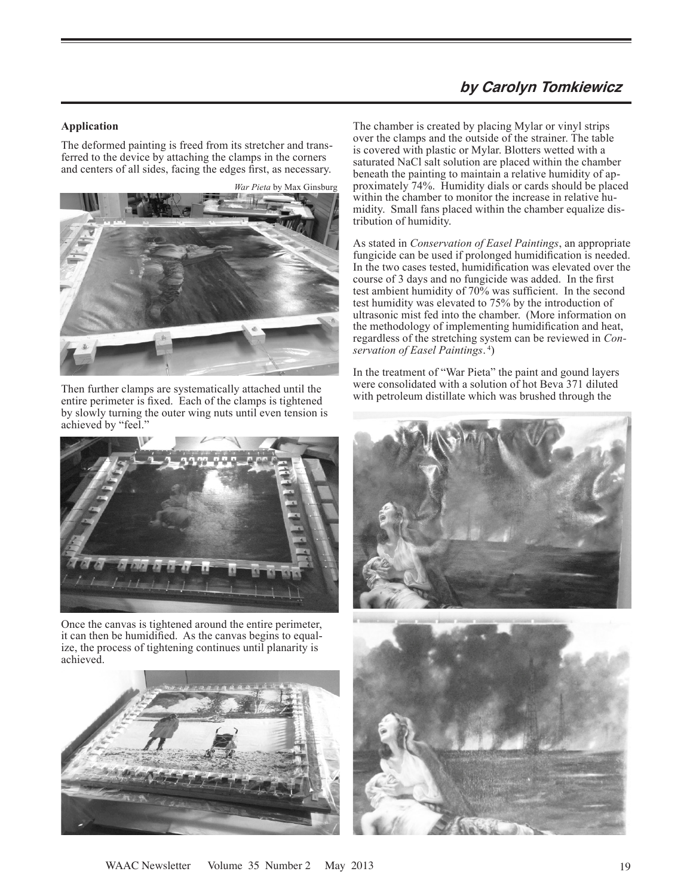# **by Carolyn Tomkiewicz**

#### **Application**

The deformed painting is freed from its stretcher and transferred to the device by attaching the clamps in the corners and centers of all sides, facing the edges first, as necessary.

*War Pieta* by Max Ginsburg



Then further clamps are systematically attached until the entire perimeter is fixed. Each of the clamps is tightened by slowly turning the outer wing nuts until even tension is achieved by "feel."



Once the canvas is tightened around the entire perimeter, it can then be humidified. As the canvas begins to equalize, the process of tightening continues until planarity is achieved.



The chamber is created by placing Mylar or vinyl strips over the clamps and the outside of the strainer. The table is covered with plastic or Mylar. Blotters wetted with a saturated NaCl salt solution are placed within the chamber beneath the painting to maintain a relative humidity of approximately 74%. Humidity dials or cards should be placed within the chamber to monitor the increase in relative humidity. Small fans placed within the chamber equalize distribution of humidity.

As stated in *Conservation of Easel Paintings*, an appropriate fungicide can be used if prolonged humidification is needed. In the two cases tested, humidification was elevated over the course of 3 days and no fungicide was added. In the first test ambient humidity of 70% was sufficient. In the second test humidity was elevated to 75% by the introduction of ultrasonic mist fed into the chamber. (More information on the methodology of implementing humidification and heat, regardless of the stretching system can be reviewed in *Conservation of Easel Paintings*. 4)

In the treatment of "War Pieta" the paint and gound layers were consolidated with a solution of hot Beva 371 diluted with petroleum distillate which was brushed through the